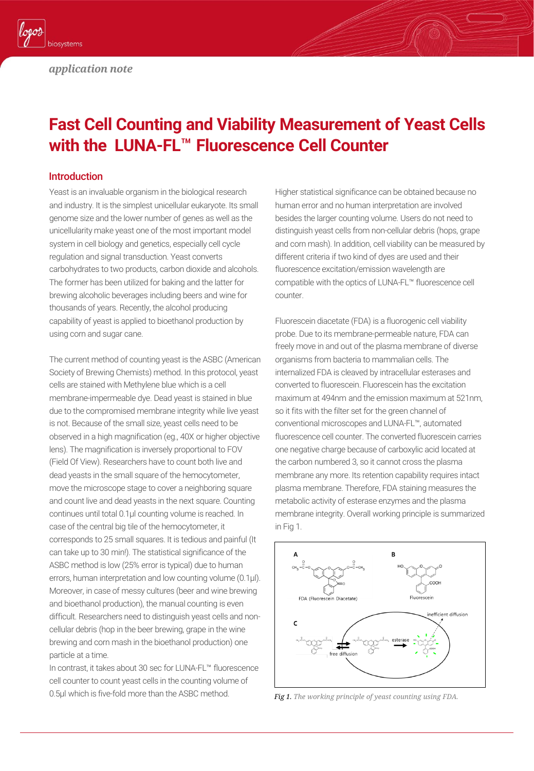

# **Fast Cell Counting and Viability Measurement of Yeast Cells with the LUNA-FL**™ **Fluorescence Cell Counter**

#### Introduction

Yeast is an invaluable organism in the biological research and industry. It is the simplest unicellular eukaryote. Its small genome size and the lower number of genes as well as the unicellularity make yeast one of the most important model system in cell biology and genetics, especially cell cycle regulation and signal transduction. Yeast converts carbohydrates to two products, carbon dioxide and alcohols. The former has been utilized for baking and the latter for brewing alcoholic beverages including beers and wine for thousands of years. Recently, the alcohol producing capability of yeast is applied to bioethanol production by using corn and sugar cane.

The current method of counting yeast is the ASBC (American Society of Brewing Chemists) method. In this protocol, yeast cells are stained with Methylene blue which is a cell membrane-impermeable dye. Dead yeast is stained in blue due to the compromised membrane integrity while live yeast is not. Because of the small size, yeast cells need to be observed in a high magnification (eg., 40X or higher objective lens). The magnification is inversely proportional to FOV (Field Of View). Researchers have to count both live and dead yeasts in the small square of the hemocytometer, move the microscope stage to cover a neighboring square and count live and dead yeasts in the next square. Counting continues until total 0.1µl counting volume is reached. In case of the central big tile of the hemocytometer, it corresponds to 25 small squares. It is tedious and painful (It can take up to 30 min!). The statistical significance of the ASBC method is low (25% error is typical) due to human errors, human interpretation and low counting volume (0.1µl). Moreover, in case of messy cultures (beer and wine brewing and bioethanol production), the manual counting is even difficult. Researchers need to distinguish yeast cells and noncellular debris (hop in the beer brewing, grape in the wine brewing and corn mash in the bioethanol production) one particle at a time.

In contrast, it takes about 30 sec for LUNA-FL™ fluorescence cell counter to count yeast cells in the counting volume of 0.5µl which is five-fold more than the ASBC method.

Higher statistical significance can be obtained because no human error and no human interpretation are involved besides the larger counting volume. Users do not need to distinguish yeast cells from non-cellular debris (hops, grape and corn mash). In addition, cell viability can be measured by different criteria if two kind of dyes are used and their fluorescence excitation/emission wavelength are compatible with the optics of LUNA-FL™ fluorescence cell counter.

Fluorescein diacetate (FDA) is a fluorogenic cell viability probe. Due to its membrane-permeable nature, FDA can freely move in and out of the plasma membrane of diverse organisms from bacteria to mammalian cells. The internalized FDA is cleaved by intracellular esterases and converted to fluorescein. Fluorescein has the excitation maximum at 494nm and the emission maximum at 521nm, so it fits with the filter set for the green channel of conventional microscopes and LUNA-FL™, automated fluorescence cell counter. The converted fluorescein carries one negative charge because of carboxylic acid located at the carbon numbered 3, so it cannot cross the plasma membrane any more. Its retention capability requires intact plasma membrane. Therefore, FDA staining measures the metabolic activity of esterase enzymes and the plasma membrane integrity. Overall working principle is summarized in Fig 1.



*Fig 1. The working principle of yeast counting using FDA.*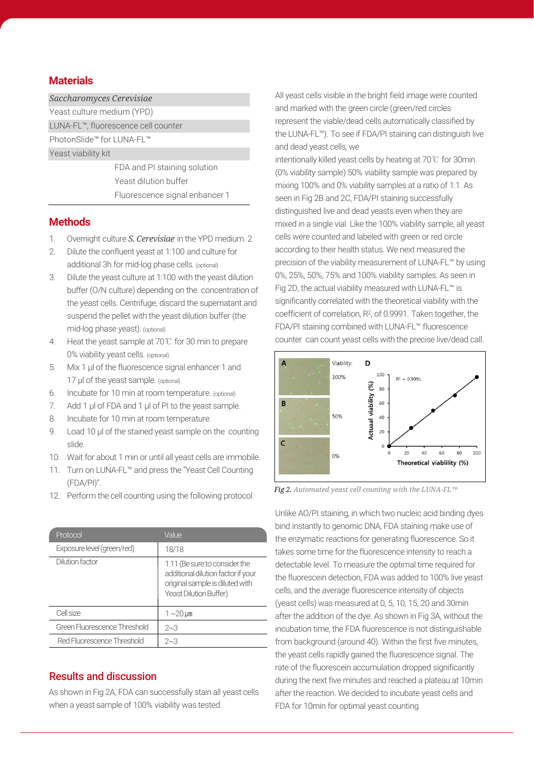#### **Materials**

#### *Saccharomyces Cerevisiae*

Yeast culture medium (YPD)

LUNA-FL™, fluorescence cell counter

PhotonSlide™ for LUNA-FL™ Yeast viability kit

> FDA and PI staining solution Yeast dilution buffer Fluorescence signal enhancer 1

#### **Methods**

- 1. Overnight culture *S. Cerevisiae* in the YPD medium. 2.
- 2. Dilute the confluent yeast at 1:100 and culture for additional 3h for mid-log phase cells. (optional)
- 3. Dilute the yeast culture at 1:100 with the yeast dilution buffer (O/N culture) depending on the concentration of the yeast cells. Centrifuge, discard the supernatant and suspend the pellet with the yeast dilution buffer (the mid-log phase yeast). (optional)
- 4. Heat the yeast sample at 70℃ for 30 min to prepare 0% viability yeast cells. (optional)
- 5. Mix 1 µl of the fluorescence signal enhancer 1 and 17 µl of the yeast sample. (optional)
- 6. Incubate for 10 min at room temperature. (optional)
- 7. Add 1 µl of FDA and 1 µl of PI to the yeast sample.
- 8. Incubate for 10 min at room temperature.
- 9. Load 10 µl of the stained yeast sample on the counting slide.
- 10. Wait for about 1 min or until all yeast cells are immobile.
- 11. Turn on LUNA-FL™ and press the "Yeast Cell Counting (FDA/PI)".
- 12. Perform the cell counting using the following protocol

| Protocol                     | Value                                                                                                                            |
|------------------------------|----------------------------------------------------------------------------------------------------------------------------------|
| Exposure level (green/red)   | 18/18                                                                                                                            |
| Dilution factor              | 1.11 (Be sure to consider the<br>additional dilution factor if your<br>original sample is diluted with<br>Yeast Dilution Buffer) |
| Cell size                    | $1 \sim 20 \mu m$                                                                                                                |
| Green Fluorescence Threshold | $2^{\sim}3$                                                                                                                      |
| Red Fluorescence Threshold   | 2~3                                                                                                                              |

#### Results and discussion

As shown in Fig 2A, FDA can successfully stain all yeast cells when a yeast sample of 100% viability was tested.

All yeast cells visible in the bright field image were counted and marked with the green circle (green/red circles represent the viable/dead cells automatically classified by the LUNA-FL™). To see if FDA/PI staining can distinguish live and dead yeast cells, we

intentionally killed yeast cells by heating at 70℃ for 30min. (0% viability sample) 50% viability sample was prepared by mixing 100% and 0% viability samples at a ratio of 1:1. As seen in Fig 2B and 2C, FDA/PI staining successfully distinguished live and dead yeasts even when they are mixed in a single vial. Like the 100% viability sample, all yeast cells were counted and labeled with green or red circle according to their health status. We next measured the precision of the viability measurement of LUNA-FL™ by using 0%, 25%, 50%, 75% and 100% viability samples. As seen in Fig 2D, the actual viability measured with LUNA-FL™ is significantly correlated with the theoretical viability with the coefficient of correlation, R<sup>2</sup> , of 0.9991. Taken together, the FDA/PI staining combined with LUNA-FL™ fluorescence counter can count yeast cells with the precise live/dead call.



*Fig 2. Automated yeast cell counting with the LUNA-FL™*

Unlike AO/PI staining, in which two nucleic acid binding dyes bind instantly to genomic DNA, FDA staining make use of the enzymatic reactions for generating fluorescence. So it takes some time for the fluorescence intensity to reach a detectable level. To measure the optimal time required for the fluorescein detection, FDA was added to 100% live yeast cells, and the average fluorescence intensity of objects (yeast cells) was measured at 0, 5, 10, 15, 20 and 30min after the addition of the dye. As shown in Fig 3A, without the incubation time, the FDA fluorescence is not distinguishable from background (around 40). Within the first five minutes, the yeast cells rapidly gained the fluorescence signal. The rate of the fluorescein accumulation dropped significantly during the next five minutes and reached a plateau at 10min after the reaction. We decided to incubate yeast cells and FDA for 10min for optimal yeast counting.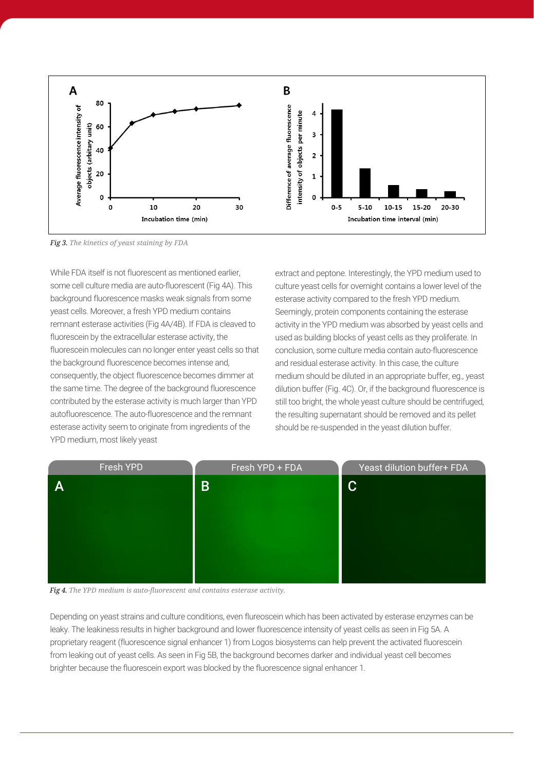

*Fig 3. The kinetics of yeast staining by FDA*

While FDA itself is not fluorescent as mentioned earlier, some cell culture media are auto-fluorescent (Fig 4A). This background fluorescence masks weak signals from some yeast cells. Moreover, a fresh YPD medium contains remnant esterase activities (Fig 4A/4B). If FDA is cleaved to fluorescein by the extracellular esterase activity, the fluorescein molecules can no longer enter yeast cells so that the background fluorescence becomes intense and, consequently, the object fluorescence becomes dimmer at the same time. The degree of the background fluorescence contributed by the esterase activity is much larger than YPD autofluorescence. The auto-fluorescence and the remnant esterase activity seem to originate from ingredients of the YPD medium, most likely yeast

extract and peptone. Interestingly, the YPD medium used to culture yeast cells for overnight contains a lower level of the esterase activity compared to the fresh YPD medium. Seemingly, protein components containing the esterase activity in the YPD medium was absorbed by yeast cells and used as building blocks of yeast cells as they proliferate. In conclusion, some culture media contain auto-fluorescence and residual esterase activity. In this case, the culture medium should be diluted in an appropriate buffer, eg., yeast dilution buffer (Fig. 4C). Or, if the background fluorescence is still too bright, the whole yeast culture should be centrifuged, the resulting supernatant should be removed and its pellet should be re-suspended in the yeast dilution buffer.



*Fig 4. The YPD medium is auto-fluorescent and contains esterase activity.*

Depending on yeast strains and culture conditions, even flureoscein which has been activated by esterase enzymes can be leaky. The leakiness results in higher background and lower fluorescence intensity of yeast cells as seen in Fig 5A. A proprietary reagent (fluorescence signal enhancer 1) from Logos biosystems can help prevent the activated fluorescein from leaking out of yeast cells. As seen in Fig 5B, the background becomes darker and individual yeast cell becomes brighter because the fluorescein export was blocked by the fluorescence signal enhancer 1.